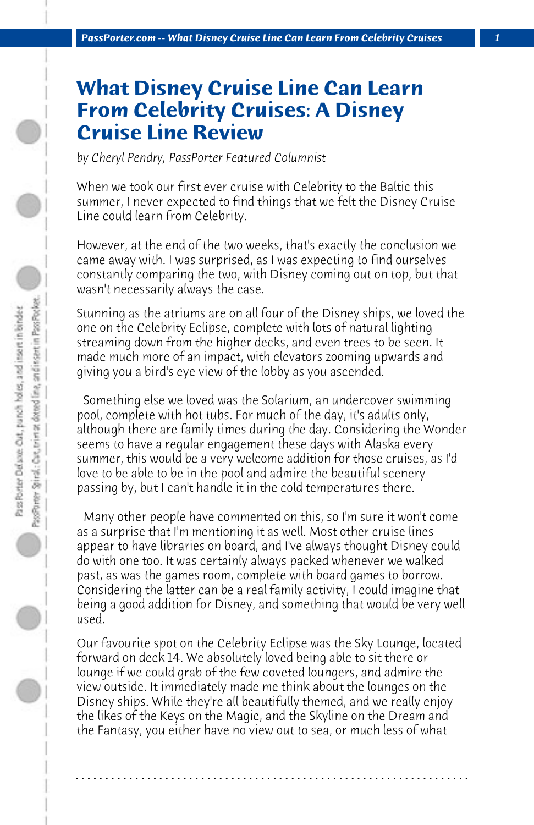## **What Disney Cruise Line Can Learn From Celebrity Cruises: A Disney Cruise Line Review**

*by Cheryl Pendry, PassPorter Featured Columnist*

When we took our first ever cruise with Celebrity to the Baltic this summer, I never expected to find things that we felt the Disney Cruise Line could learn from Celebrity.

However, at the end of the two weeks, that's exactly the conclusion we came away with. I was surprised, as I was expecting to find ourselves constantly comparing the two, with Disney coming out on top, but that wasn't necessarily always the case.

Stunning as the atriums are on all four of the Disney ships, we loved the one on the Celebrity Eclipse, complete with lots of natural lighting streaming down from the higher decks, and even trees to be seen. It made much more of an impact, with elevators zooming upwards and giving you a bird's eye view of the lobby as you ascended.

 Something else we loved was the Solarium, an undercover swimming pool, complete with hot tubs. For much of the day, it's adults only, although there are family times during the day. Considering the Wonder seems to have a regular engagement these days with Alaska every summer, this would be a very welcome addition for those cruises, as I'd love to be able to be in the pool and admire the beautiful scenery passing by, but I can't handle it in the cold temperatures there.

 Many other people have commented on this, so I'm sure it won't come as a surprise that I'm mentioning it as well. Most other cruise lines appear to have libraries on board, and I've always thought Disney could do with one too. It was certainly always packed whenever we walked past, as was the games room, complete with board games to borrow. Considering the latter can be a real family activity, I could imagine that being a good addition for Disney, and something that would be very well used.

Our favourite spot on the Celebrity Eclipse was the Sky Lounge, located forward on deck 14. We absolutely loved being able to sit there or lounge if we could grab of the few coveted loungers, and admire the view outside. It immediately made me think about the lounges on the Disney ships. While they're all beautifully themed, and we really enjoy the likes of the Keys on the Magic, and the Skyline on the Dream and the Fantasy, you either have no view out to sea, or much less of what

**. . . . . . . . . . . . . . . . . . . . . . . . . . . . . . . . . . . . . . . . . . . . . . . . . . . . . . . . . . . . . . . . . .**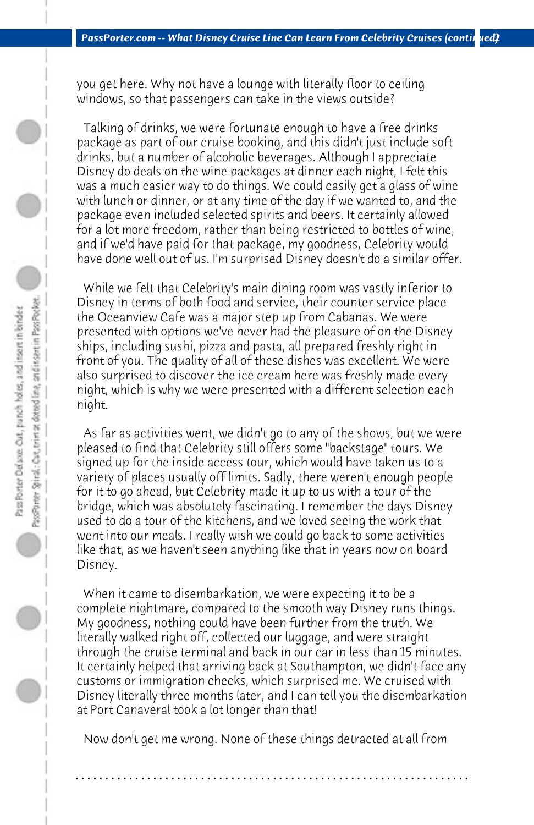you get here. Why not have a lounge with literally floor to ceiling windows, so that passengers can take in the views outside?

 Talking of drinks, we were fortunate enough to have a free drinks package as part of our cruise booking, and this didn't just include soft drinks, but a number of alcoholic beverages. Although I appreciate Disney do deals on the wine packages at dinner each night, I felt this was a much easier way to do things. We could easily get a glass of wine with lunch or dinner, or at any time of the day if we wanted to, and the package even included selected spirits and beers. It certainly allowed for a lot more freedom, rather than being restricted to bottles of wine, and if we'd have paid for that package, my goodness, Celebrity would have done well out of us. I'm surprised Disney doesn't do a similar offer.

 While we felt that Celebrity's main dining room was vastly inferior to Disney in terms of both food and service, their counter service place the Oceanview Cafe was a major step up from Cabanas. We were presented with options we've never had the pleasure of on the Disney ships, including sushi, pizza and pasta, all prepared freshly right in front of you. The quality of all of these dishes was excellent. We were also surprised to discover the ice cream here was freshly made every night, which is why we were presented with a different selection each night.

 As far as activities went, we didn't go to any of the shows, but we were pleased to find that Celebrity still offers some "backstage" tours. We signed up for the inside access tour, which would have taken us to a variety of places usually off limits. Sadly, there weren't enough people for it to go ahead, but Celebrity made it up to us with a tour of the bridge, which was absolutely fascinating. I remember the days Disney used to do a tour of the kitchens, and we loved seeing the work that went into our meals. I really wish we could go back to some activities like that, as we haven't seen anything like that in years now on board Disney.

 When it came to disembarkation, we were expecting it to be a complete nightmare, compared to the smooth way Disney runs things. My goodness, nothing could have been further from the truth. We literally walked right off, collected our luggage, and were straight through the cruise terminal and back in our car in less than 15 minutes. It certainly helped that arriving back at Southampton, we didn't face any customs or immigration checks, which surprised me. We cruised with Disney literally three months later, and I can tell you the disembarkation at Port Canaveral took a lot longer than that!

 Now don't get me wrong. None of these things detracted at all from

**. . . . . . . . . . . . . . . . . . . . . . . . . . . . . . . . . . . . . . . . . . . . . . . . . . . . . . . . . . . . . . . . . .**